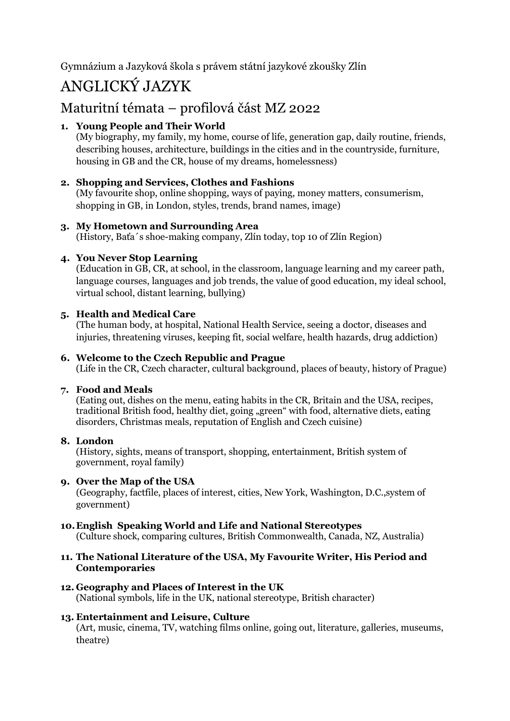Gymnázium a Jazyková škola s právem státní jazykové zkoušky Zlín

# ANGLICKÝ JAZYK

## Maturitní témata – profilová část MZ 2022

### **1. Young People and Their World**

(My biography, my family, my home, course of life, generation gap, daily routine, friends, describing houses, architecture, buildings in the cities and in the countryside, furniture, housing in GB and the CR, house of my dreams, homelessness)

#### **2. Shopping and Services, Clothes and Fashions**

(My favourite shop, online shopping, ways of paying, money matters, consumerism, shopping in GB, in London, styles, trends, brand names, image)

#### **3. My Hometown and Surrounding Area**

(History, Baťa´s shoe-making company, Zlín today, top 10 of Zlín Region)

#### **4. You Never Stop Learning**

(Education in GB, CR, at school, in the classroom, language learning and my career path, language courses, languages and job trends, the value of good education, my ideal school, virtual school, distant learning, bullying)

#### **5. Health and Medical Care**

(The human body, at hospital, National Health Service, seeing a doctor, diseases and injuries, threatening viruses, keeping fit, social welfare, health hazards, drug addiction)

#### **6. Welcome to the Czech Republic and Prague**

(Life in the CR, Czech character, cultural background, places of beauty, history of Prague)

#### **7. Food and Meals**

(Eating out, dishes on the menu, eating habits in the CR, Britain and the USA, recipes, traditional British food, healthy diet, going "green" with food, alternative diets, eating disorders, Christmas meals, reputation of English and Czech cuisine)

#### **8. London**

(History, sights, means of transport, shopping, entertainment, British system of government, royal family)

#### **9. Over the Map of the USA**

(Geography, factfile, places of interest, cities, New York, Washington, D.C.,system of government)

#### **10.English Speaking World and Life and National Stereotypes**

(Culture shock, comparing cultures, British Commonwealth, Canada, NZ, Australia)

#### **11. The National Literature of the USA, My Favourite Writer, His Period and Contemporaries**

**12. Geography and Places of Interest in the UK** (National symbols, life in the UK, national stereotype, British character)

#### **13. Entertainment and Leisure, Culture**

(Art, music, cinema, TV, watching films online, going out, literature, galleries, museums, theatre)